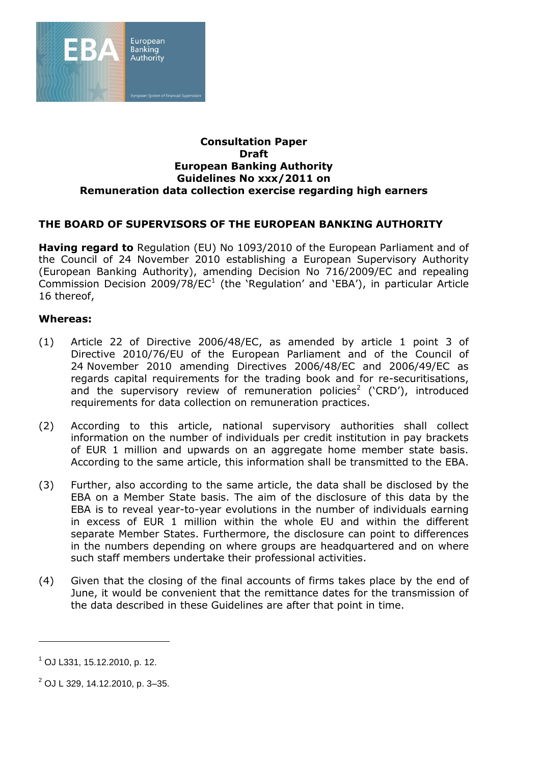

#### **Consultation Paper Draft European Banking Authority Guidelines No xxx/2011 on Remuneration data collection exercise regarding high earners**

### **THE BOARD OF SUPERVISORS OF THE EUROPEAN BANKING AUTHORITY**

**Having regard to** Regulation (EU) No 1093/2010 of the European Parliament and of the Council of 24 November 2010 establishing a European Supervisory Authority (European Banking Authority), amending Decision No 716/2009/EC and repealing Commission Decision 2009/78/EC<sup>1</sup> (the 'Regulation' and 'EBA'), in particular Article 16 thereof,

#### **Whereas:**

- (1) Article 22 of Directive 2006/48/EC, as amended by article 1 point 3 of Directive 2010/76/EU of the European Parliament and of the Council of 24 November 2010 amending Directives 2006/48/EC and 2006/49/EC as regards capital requirements for the trading book and for re-securitisations, and the supervisory review of remuneration policies<sup>2</sup> ('CRD'), introduced requirements for data collection on remuneration practices.
- (2) According to this article, national supervisory authorities shall collect information on the number of individuals per credit institution in pay brackets of EUR 1 million and upwards on an aggregate home member state basis. According to the same article, this information shall be transmitted to the EBA.
- (3) Further, also according to the same article, the data shall be disclosed by the EBA on a Member State basis. The aim of the disclosure of this data by the EBA is to reveal year-to-year evolutions in the number of individuals earning in excess of EUR 1 million within the whole EU and within the different separate Member States. Furthermore, the disclosure can point to differences in the numbers depending on where groups are headquartered and on where such staff members undertake their professional activities.
- (4) Given that the closing of the final accounts of firms takes place by the end of June, it would be convenient that the remittance dates for the transmission of the data described in these Guidelines are after that point in time.

 $^{1}$  OJ L331, 15.12.2010, p. 12.

 $^{2}$  OJ L 329, 14.12.2010, p. 3–35.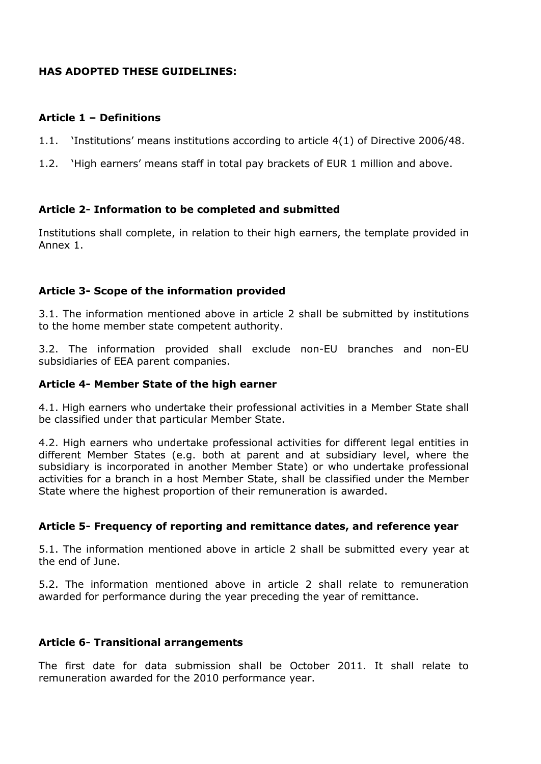# **HAS ADOPTED THESE GUIDELINES:**

## **Article 1 – Definitions**

- 1.1. 'Institutions' means institutions according to article 4(1) of Directive 2006/48.
- 1.2. 'High earners' means staff in total pay brackets of EUR 1 million and above.

# **Article 2- Information to be completed and submitted**

Institutions shall complete, in relation to their high earners, the template provided in Annex 1.

### **Article 3- Scope of the information provided**

3.1. The information mentioned above in article 2 shall be submitted by institutions to the home member state competent authority.

3.2. The information provided shall exclude non-EU branches and non-EU subsidiaries of EEA parent companies.

### **Article 4- Member State of the high earner**

4.1. High earners who undertake their professional activities in a Member State shall be classified under that particular Member State.

4.2. High earners who undertake professional activities for different legal entities in different Member States (e.g. both at parent and at subsidiary level, where the subsidiary is incorporated in another Member State) or who undertake professional activities for a branch in a host Member State, shall be classified under the Member State where the highest proportion of their remuneration is awarded.

### **Article 5- Frequency of reporting and remittance dates, and reference year**

5.1. The information mentioned above in article 2 shall be submitted every year at the end of June.

5.2. The information mentioned above in article 2 shall relate to remuneration awarded for performance during the year preceding the year of remittance.

### **Article 6- Transitional arrangements**

The first date for data submission shall be October 2011. It shall relate to remuneration awarded for the 2010 performance year.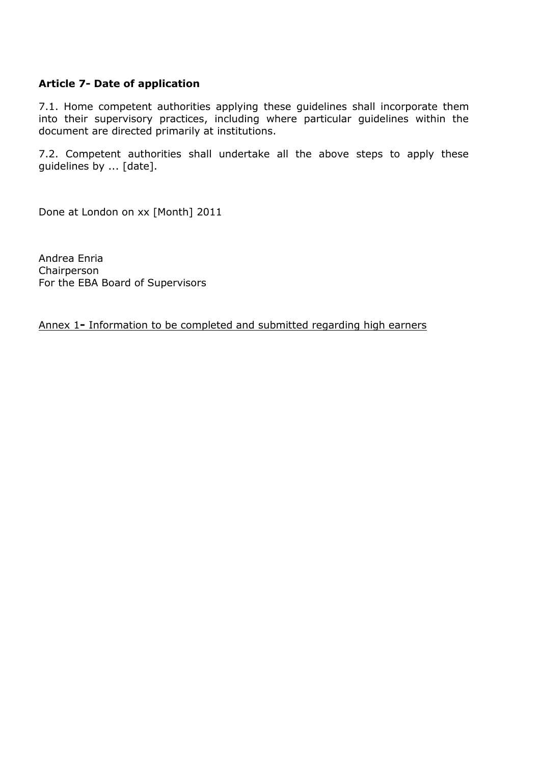# **Article 7- Date of application**

7.1. Home competent authorities applying these guidelines shall incorporate them into their supervisory practices, including where particular guidelines within the document are directed primarily at institutions.

7.2. Competent authorities shall undertake all the above steps to apply these guidelines by ... [date].

Done at London on xx [Month] 2011

Andrea Enria Chairperson For the EBA Board of Supervisors

Annex 1**-** Information to be completed and submitted regarding high earners